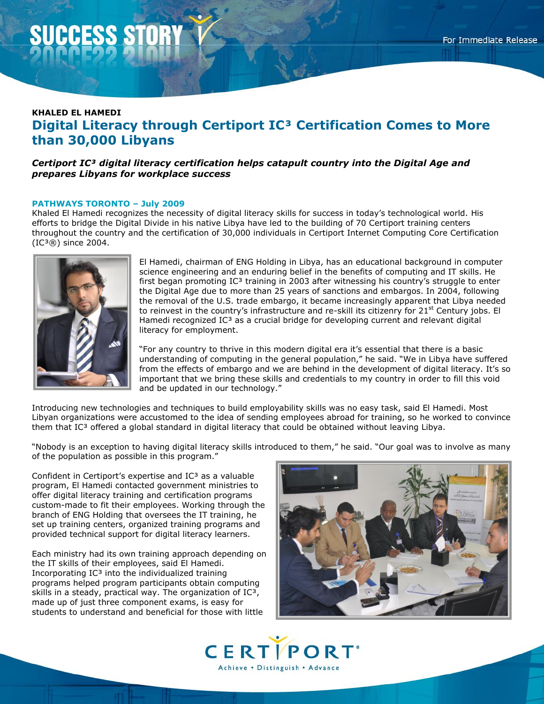# **KHALED EL HAMEDI Digital Literacy through Certiport IC³ Certification Comes to More than 30,000 Libyans**

# *Certiport IC³ digital literacy certification helps catapult country into the Digital Age and prepares Libyans for workplace success*

### **PATHWAYS TORONTO – July 2009**

Khaled El Hamedi recognizes the necessity of digital literacy skills for success in today's technological world. His efforts to bridge the Digital Divide in his native Libya have led to the building of 70 Certiport training centers throughout the country and the certification of 30,000 individuals in Certiport Internet Computing Core Certification  $(IC<sup>3</sup>®)$  since 2004.



El Hamedi, chairman of ENG Holding in Libya, has an educational background in computer science engineering and an enduring belief in the benefits of computing and IT skills. He first began promoting  $IC<sup>3</sup>$  training in 2003 after witnessing his country's struggle to enter the Digital Age due to more than 25 years of sanctions and embargos. In 2004, following the removal of the U.S. trade embargo, it became increasingly apparent that Libya needed to reinvest in the country's infrastructure and re-skill its citizenry for 21<sup>st</sup> Century jobs. El Hamedi recognized  $IC<sup>3</sup>$  as a crucial bridge for developing current and relevant digital literacy for employment.

"For any country to thrive in this modern digital era it's essential that there is a basic understanding of computing in the general population," he said. "We in Libya have suffered from the effects of embargo and we are behind in the development of digital literacy. It's so important that we bring these skills and credentials to my country in order to fill this void and be updated in our technology."

Introducing new technologies and techniques to build employability skills was no easy task, said El Hamedi. Most Libyan organizations were accustomed to the idea of sending employees abroad for training, so he worked to convince them that IC<sup>3</sup> offered a global standard in digital literacy that could be obtained without leaving Libya.

"Nobody is an exception to having digital literacy skills introduced to them," he said. "Our goal was to involve as many of the population as possible in this program."

Confident in Certiport's expertise and  $IC<sup>3</sup>$  as a valuable program, El Hamedi contacted government ministries to offer digital literacy training and certification programs custom-made to fit their employees. Working through the branch of ENG Holding that oversees the IT training, he set up training centers, organized training programs and provided technical support for digital literacy learners.

Each ministry had its own training approach depending on the IT skills of their employees, said El Hamedi. Incorporating  $IC<sup>3</sup>$  into the individualized training programs helped program participants obtain computing skills in a steady, practical way. The organization of  $IC<sup>3</sup>$ , made up of just three component exams, is easy for students to understand and beneficial for those with little